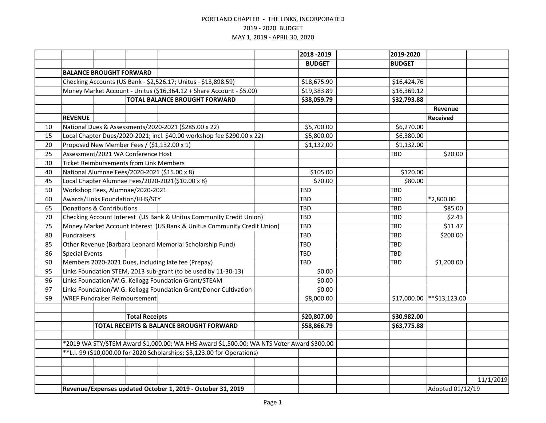|    |                                                                           |                                |                                                |                                                                                          |  | 2018 - 2019   | 2019-2020     |                  |           |
|----|---------------------------------------------------------------------------|--------------------------------|------------------------------------------------|------------------------------------------------------------------------------------------|--|---------------|---------------|------------------|-----------|
|    |                                                                           |                                |                                                |                                                                                          |  | <b>BUDGET</b> | <b>BUDGET</b> |                  |           |
|    |                                                                           | <b>BALANCE BROUGHT FORWARD</b> |                                                |                                                                                          |  |               |               |                  |           |
|    | Checking Accounts (US Bank - \$2,526.17; Unitus - \$13,898.59)            |                                |                                                |                                                                                          |  | \$18,675.90   | \$16,424.76   |                  |           |
|    | Money Market Account - Unitus (\$16,364.12 + Share Account - \$5.00)      |                                |                                                |                                                                                          |  | \$19,383.89   | \$16,369.12   |                  |           |
|    | <b>TOTAL BALANCE BROUGHT FORWARD</b>                                      |                                |                                                |                                                                                          |  | \$38,059.79   | \$32,793.88   |                  |           |
|    |                                                                           |                                |                                                |                                                                                          |  |               |               | Revenue          |           |
|    | <b>REVENUE</b>                                                            |                                |                                                |                                                                                          |  |               |               | <b>Received</b>  |           |
| 10 |                                                                           |                                |                                                | National Dues & Assessments/2020-2021 (\$285.00 x 22)                                    |  | \$5,700.00    | \$6,270.00    |                  |           |
| 15 |                                                                           |                                |                                                | Local Chapter Dues/2020-2021; incl. \$40.00 workshop fee \$290.00 x 22)                  |  | \$5,800.00    | \$6,380.00    |                  |           |
| 20 |                                                                           |                                |                                                | Proposed New Member Fees / (\$1,132.00 x 1)                                              |  | \$1,132.00    | \$1,132.00    |                  |           |
| 25 |                                                                           |                                | Assessment/2021 WA Conference Host             |                                                                                          |  |               | <b>TBD</b>    | \$20.00          |           |
| 30 |                                                                           |                                | <b>Ticket Reimbursements from Link Members</b> |                                                                                          |  |               |               |                  |           |
| 40 |                                                                           |                                |                                                | National Alumnae Fees/2020-2021 (\$15.00 x 8)                                            |  | \$105.00      | \$120.00      |                  |           |
| 45 |                                                                           |                                |                                                | Local Chapter Alumnae Fees/2020-2021(\$10.00 x 8)                                        |  | \$70.00       | \$80.00       |                  |           |
| 50 |                                                                           |                                | Workshop Fees, Alumnae/2020-2021               |                                                                                          |  | TBD           | TBD           |                  |           |
| 60 |                                                                           |                                | Awards/Links Foundation/HHS/STY                |                                                                                          |  | TBD           | TBD           | *2,800.00        |           |
| 65 | <b>Donations &amp; Contributions</b>                                      |                                |                                                |                                                                                          |  | TBD           | TBD           | \$85.00          |           |
| 70 | Checking Account Interest (US Bank & Unitus Community Credit Union)       |                                |                                                |                                                                                          |  | TBD           | <b>TBD</b>    | \$2.43           |           |
| 75 |                                                                           |                                |                                                | Money Market Account Interest (US Bank & Unitus Community Credit Union)                  |  | TBD           | <b>TBD</b>    | \$11.47          |           |
| 80 | Fundraisers                                                               |                                |                                                |                                                                                          |  | TBD           | <b>TBD</b>    | \$200.00         |           |
| 85 |                                                                           |                                |                                                | Other Revenue (Barbara Leonard Memorial Scholarship Fund)                                |  | TBD           | TBD           |                  |           |
| 86 | <b>Special Events</b>                                                     |                                |                                                |                                                                                          |  | TBD           | TBD           |                  |           |
| 90 |                                                                           |                                |                                                | Members 2020-2021 Dues, including late fee (Prepay)                                      |  | TBD           | <b>TBD</b>    | \$1,200.00       |           |
| 95 | Links Foundation STEM, 2013 sub-grant (to be used by 11-30-13)            |                                |                                                |                                                                                          |  | \$0.00        |               |                  |           |
| 96 | Links Foundation/W.G. Kellogg Foundation Grant/STEAM                      |                                |                                                |                                                                                          |  | \$0.00        |               |                  |           |
| 97 |                                                                           |                                |                                                | Links Foundation/W.G. Kellogg Foundation Grant/Donor Cultivation                         |  | \$0.00        |               |                  |           |
| 99 |                                                                           |                                | <b>WREF Fundraiser Reimbursement</b>           |                                                                                          |  | \$8,000.00    | \$17,000.00   | $*$ \$13,123.00  |           |
|    |                                                                           |                                |                                                |                                                                                          |  |               |               |                  |           |
|    |                                                                           |                                | <b>Total Receipts</b>                          |                                                                                          |  | \$20,807.00   | \$30,982.00   |                  |           |
|    |                                                                           |                                |                                                | TOTAL RECEIPTS & BALANCE BROUGHT FORWARD                                                 |  | \$58,866.79   | \$63,775.88   |                  |           |
|    |                                                                           |                                |                                                |                                                                                          |  |               |               |                  |           |
|    |                                                                           |                                |                                                | *2019 WA STY/STEM Award \$1,000.00; WA HHS Award \$1,500.00; WA NTS Voter Award \$300.00 |  |               |               |                  |           |
|    | ** L.I. 99 (\$10,000.00 for 2020 Scholarships; \$3,123.00 for Operations) |                                |                                                |                                                                                          |  |               |               |                  |           |
|    |                                                                           |                                |                                                |                                                                                          |  |               |               |                  |           |
|    |                                                                           |                                |                                                |                                                                                          |  |               |               |                  |           |
|    |                                                                           |                                |                                                |                                                                                          |  |               |               |                  | 11/1/2019 |
|    | Revenue/Expenses updated October 1, 2019 - October 31, 2019               |                                |                                                |                                                                                          |  |               |               | Adopted 01/12/19 |           |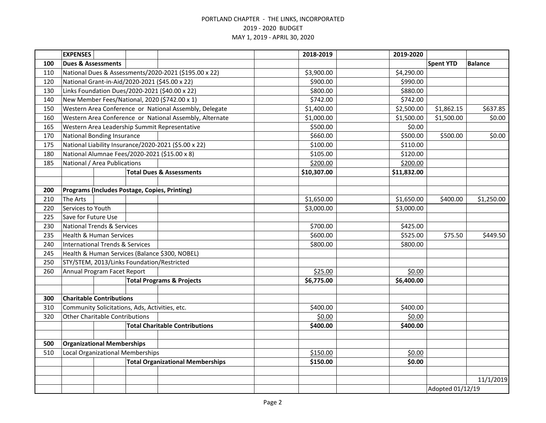|     | <b>EXPENSES</b>                            |  |                                                |                                                         | 2018-2019   | 2019-2020   |                  |                |
|-----|--------------------------------------------|--|------------------------------------------------|---------------------------------------------------------|-------------|-------------|------------------|----------------|
| 100 | <b>Dues &amp; Assessments</b>              |  |                                                |                                                         |             |             | <b>Spent YTD</b> | <b>Balance</b> |
| 110 |                                            |  |                                                | National Dues & Assessments/2020-2021 (\$195.00 x 22)   | \$3,900.00  | \$4,290.00  |                  |                |
| 120 |                                            |  |                                                | National Grant-in-Aid/2020-2021 (\$45.00 x 22)          | \$900.00    | \$990.00    |                  |                |
| 130 |                                            |  |                                                | Links Foundation Dues/2020-2021 (\$40.00 x 22)          | \$800.00    | \$880.00    |                  |                |
| 140 |                                            |  |                                                | New Member Fees/National, 2020 (\$742.00 x 1)           | \$742.00    | \$742.00    |                  |                |
| 150 |                                            |  |                                                | Western Area Conference or National Assembly, Delegate  | \$1,400.00  | \$2,500.00  | \$1,862.15       | \$637.85       |
| 160 |                                            |  |                                                | Western Area Conference or National Assembly, Alternate | \$1,000.00  | \$1,500.00  | \$1,500.00       | \$0.00         |
| 165 |                                            |  |                                                | Western Area Leadership Summit Representative           | \$500.00    | \$0.00      |                  |                |
| 170 | <b>National Bonding Insurance</b>          |  |                                                |                                                         | \$660.00    | \$500.00    | \$500.00         | \$0.00         |
| 175 |                                            |  |                                                | National Liability Insurance/2020-2021 (\$5.00 x 22)    | \$100.00    | \$110.00    |                  |                |
| 180 |                                            |  |                                                | National Alumnae Fees/2020-2021 (\$15.00 x 8)           | \$105.00    | \$120.00    |                  |                |
| 185 | National / Area Publications               |  |                                                |                                                         | \$200.00    | \$200.00    |                  |                |
|     |                                            |  |                                                | <b>Total Dues &amp; Assessments</b>                     | \$10,307.00 | \$11,832.00 |                  |                |
|     |                                            |  |                                                |                                                         |             |             |                  |                |
| 200 |                                            |  |                                                | Programs (Includes Postage, Copies, Printing)           |             |             |                  |                |
| 210 | <b>The Arts</b>                            |  |                                                |                                                         | \$1,650.00  | \$1,650.00  | \$400.00         | \$1,250.00     |
| 220 | Services to Youth                          |  |                                                |                                                         | \$3,000.00  | \$3,000.00  |                  |                |
| 225 | Save for Future Use                        |  |                                                |                                                         |             |             |                  |                |
| 230 | <b>National Trends &amp; Services</b>      |  |                                                |                                                         | \$700.00    | \$425.00    |                  |                |
| 235 | <b>Health &amp; Human Services</b>         |  |                                                |                                                         | \$600.00    | \$525.00    | \$75.50          | \$449.50       |
| 240 | <b>International Trends &amp; Services</b> |  |                                                |                                                         | \$800.00    | \$800.00    |                  |                |
| 245 |                                            |  |                                                | Health & Human Services (Balance \$300, NOBEL)          |             |             |                  |                |
| 250 |                                            |  | STY/STEM, 2013/Links Foundation/Restricted     |                                                         |             |             |                  |                |
| 260 | Annual Program Facet Report                |  |                                                |                                                         | \$25.00     | \$0.00      |                  |                |
|     | <b>Total Programs &amp; Projects</b>       |  | \$6,775.00                                     | \$6,400.00                                              |             |             |                  |                |
|     |                                            |  |                                                |                                                         |             |             |                  |                |
| 300 | <b>Charitable Contributions</b>            |  |                                                |                                                         |             |             |                  |                |
| 310 |                                            |  | Community Solicitations, Ads, Activities, etc. |                                                         | \$400.00    | \$400.00    |                  |                |
| 320 | <b>Other Charitable Contributions</b>      |  |                                                |                                                         | \$0.00      | \$0.00      |                  |                |
|     |                                            |  |                                                | <b>Total Charitable Contributions</b>                   | \$400.00    | \$400.00    |                  |                |
|     |                                            |  |                                                |                                                         |             |             |                  |                |
| 500 | <b>Organizational Memberships</b>          |  |                                                |                                                         |             |             |                  |                |
| 510 | <b>Local Organizational Memberships</b>    |  |                                                |                                                         | \$150.00    | \$0.00      |                  |                |
|     | <b>Total Organizational Memberships</b>    |  | \$150.00                                       | \$0.00                                                  |             |             |                  |                |
|     |                                            |  |                                                |                                                         |             |             |                  |                |
|     |                                            |  |                                                |                                                         |             |             |                  | 11/1/2019      |
|     |                                            |  |                                                |                                                         |             |             | Adopted 01/12/19 |                |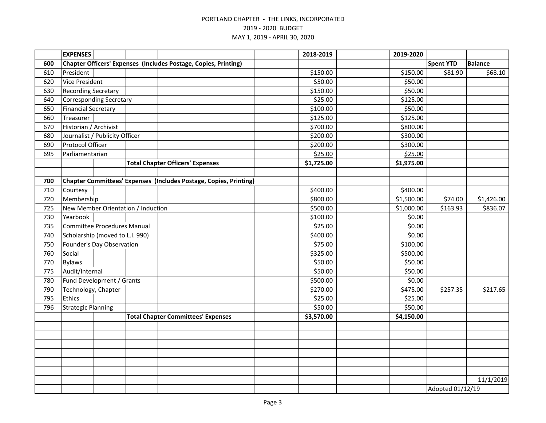|     | <b>EXPENSES</b>                    |  |                  |                                                                   | 2018-2019  | 2019-2020  |                  |                |
|-----|------------------------------------|--|------------------|-------------------------------------------------------------------|------------|------------|------------------|----------------|
| 600 |                                    |  |                  | Chapter Officers' Expenses (Includes Postage, Copies, Printing)   |            |            | <b>Spent YTD</b> | <b>Balance</b> |
| 610 | President                          |  |                  |                                                                   | \$150.00   | \$150.00   | \$81.90          | \$68.10        |
| 620 | <b>Vice President</b>              |  |                  |                                                                   | \$50.00    | \$50.00    |                  |                |
| 630 | <b>Recording Secretary</b>         |  |                  |                                                                   | \$150.00   | \$50.00    |                  |                |
| 640 | <b>Corresponding Secretary</b>     |  |                  |                                                                   | \$25.00    | \$125.00   |                  |                |
| 650 | <b>Financial Secretary</b>         |  |                  |                                                                   | \$100.00   | \$50.00    |                  |                |
| 660 | Treasurer                          |  |                  |                                                                   | \$125.00   | \$125.00   |                  |                |
| 670 | Historian / Archivist              |  |                  |                                                                   | \$700.00   | \$800.00   |                  |                |
| 680 | Journalist / Publicity Officer     |  |                  |                                                                   | \$200.00   | \$300.00   |                  |                |
| 690 | Protocol Officer                   |  |                  |                                                                   | \$200.00   | \$300.00   |                  |                |
| 695 | Parliamentarian                    |  |                  |                                                                   | \$25.00    | \$25.00    |                  |                |
|     |                                    |  |                  | <b>Total Chapter Officers' Expenses</b>                           | \$1,725.00 | \$1,975.00 |                  |                |
|     |                                    |  |                  |                                                                   |            |            |                  |                |
| 700 |                                    |  |                  | Chapter Committees' Expenses (Includes Postage, Copies, Printing) |            |            |                  |                |
| 710 | Courtesy                           |  |                  |                                                                   | \$400.00   | \$400.00   |                  |                |
| 720 | Membership                         |  |                  |                                                                   | \$800.00   | \$1,500.00 | \$74.00          | \$1,426.00     |
| 725 | New Member Orientation / Induction |  |                  |                                                                   | \$500.00   | \$1,000.00 | \$163.93         | \$836.07       |
| 730 | Yearbook                           |  |                  |                                                                   | \$100.00   | \$0.00     |                  |                |
| 735 | Committee Procedures Manual        |  |                  |                                                                   | \$25.00    | \$0.00     |                  |                |
| 740 | Scholarship (moved to L.I. 990)    |  |                  |                                                                   | \$400.00   | \$0.00     |                  |                |
| 750 | Founder's Day Observation          |  |                  |                                                                   | \$75.00    | \$100.00   |                  |                |
| 760 | Social                             |  |                  |                                                                   | \$325.00   | \$500.00   |                  |                |
| 770 | <b>Bylaws</b>                      |  |                  |                                                                   | \$50.00    | \$50.00    |                  |                |
| 775 | Audit/Internal                     |  |                  |                                                                   | \$50.00    | \$50.00    |                  |                |
| 780 | Fund Development / Grants          |  |                  |                                                                   | \$500.00   | \$0.00     |                  |                |
| 790 | Technology, Chapter                |  |                  |                                                                   | \$270.00   | \$475.00   | \$257.35         | \$217.65       |
| 795 | <b>Ethics</b>                      |  |                  |                                                                   | \$25.00    | \$25.00    |                  |                |
| 796 | <b>Strategic Planning</b>          |  |                  |                                                                   | \$50.00    | \$50.00    |                  |                |
|     |                                    |  |                  | <b>Total Chapter Committees' Expenses</b>                         | \$3,570.00 | \$4,150.00 |                  |                |
|     |                                    |  |                  |                                                                   |            |            |                  |                |
|     |                                    |  |                  |                                                                   |            |            |                  |                |
|     |                                    |  |                  |                                                                   |            |            |                  |                |
|     |                                    |  |                  |                                                                   |            |            |                  |                |
|     |                                    |  |                  |                                                                   |            |            |                  |                |
|     |                                    |  |                  |                                                                   |            |            |                  |                |
|     |                                    |  |                  |                                                                   |            |            |                  | 11/1/2019      |
|     |                                    |  | Adopted 01/12/19 |                                                                   |            |            |                  |                |